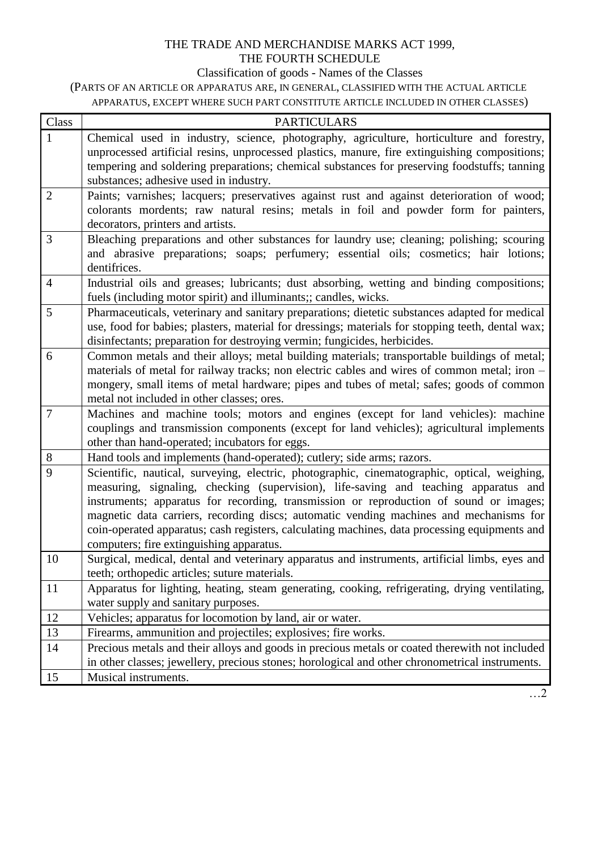## THE TRADE AND MERCHANDISE MARKS ACT 1999, THE FOURTH SCHEDULE

## Classification of goods - Names of the Classes

(PARTS OF AN ARTICLE OR APPARATUS ARE, IN GENERAL, CLASSIFIED WITH THE ACTUAL ARTICLE APPARATUS, EXCEPT WHERE SUCH PART CONSTITUTE ARTICLE INCLUDED IN OTHER CLASSES)

| Class          | <b>PARTICULARS</b>                                                                                                                                                                                                                                                                                                                                                                                                                                                                                                    |
|----------------|-----------------------------------------------------------------------------------------------------------------------------------------------------------------------------------------------------------------------------------------------------------------------------------------------------------------------------------------------------------------------------------------------------------------------------------------------------------------------------------------------------------------------|
| 1              | Chemical used in industry, science, photography, agriculture, horticulture and forestry,<br>unprocessed artificial resins, unprocessed plastics, manure, fire extinguishing compositions;<br>tempering and soldering preparations; chemical substances for preserving foodstuffs; tanning<br>substances; adhesive used in industry.                                                                                                                                                                                   |
| $\overline{2}$ | Paints; varnishes; lacquers; preservatives against rust and against deterioration of wood;<br>colorants mordents; raw natural resins; metals in foil and powder form for painters,<br>decorators, printers and artists.                                                                                                                                                                                                                                                                                               |
| 3              | Bleaching preparations and other substances for laundry use; cleaning; polishing; scouring<br>and abrasive preparations; soaps; perfumery; essential oils; cosmetics; hair lotions;<br>dentifrices.                                                                                                                                                                                                                                                                                                                   |
| $\overline{4}$ | Industrial oils and greases; lubricants; dust absorbing, wetting and binding compositions;<br>fuels (including motor spirit) and illuminants;; candles, wicks.                                                                                                                                                                                                                                                                                                                                                        |
| 5              | Pharmaceuticals, veterinary and sanitary preparations; dietetic substances adapted for medical<br>use, food for babies; plasters, material for dressings; materials for stopping teeth, dental wax;<br>disinfectants; preparation for destroying vermin; fungicides, herbicides.                                                                                                                                                                                                                                      |
| 6              | Common metals and their alloys; metal building materials; transportable buildings of metal;<br>materials of metal for railway tracks; non electric cables and wires of common metal; iron -<br>mongery, small items of metal hardware; pipes and tubes of metal; safes; goods of common<br>metal not included in other classes; ores.                                                                                                                                                                                 |
| $\tau$         | Machines and machine tools; motors and engines (except for land vehicles): machine<br>couplings and transmission components (except for land vehicles); agricultural implements<br>other than hand-operated; incubators for eggs.                                                                                                                                                                                                                                                                                     |
| 8              | Hand tools and implements (hand-operated); cutlery; side arms; razors.                                                                                                                                                                                                                                                                                                                                                                                                                                                |
| 9              | Scientific, nautical, surveying, electric, photographic, cinematographic, optical, weighing,<br>measuring, signaling, checking (supervision), life-saving and teaching apparatus and<br>instruments; apparatus for recording, transmission or reproduction of sound or images;<br>magnetic data carriers, recording discs; automatic vending machines and mechanisms for<br>coin-operated apparatus; cash registers, calculating machines, data processing equipments and<br>computers; fire extinguishing apparatus. |
| 10             | Surgical, medical, dental and veterinary apparatus and instruments, artificial limbs, eyes and<br>teeth; orthopedic articles; suture materials.                                                                                                                                                                                                                                                                                                                                                                       |
| 11             | Apparatus for lighting, heating, steam generating, cooking, refrigerating, drying ventilating,<br>water supply and sanitary purposes.                                                                                                                                                                                                                                                                                                                                                                                 |
| 12             | Vehicles; apparatus for locomotion by land, air or water.                                                                                                                                                                                                                                                                                                                                                                                                                                                             |
| 13             | Firearms, ammunition and projectiles; explosives; fire works.                                                                                                                                                                                                                                                                                                                                                                                                                                                         |
| 14             | Precious metals and their alloys and goods in precious metals or coated therewith not included<br>in other classes; jewellery, precious stones; horological and other chronometrical instruments.                                                                                                                                                                                                                                                                                                                     |
| 15             | Musical instruments.                                                                                                                                                                                                                                                                                                                                                                                                                                                                                                  |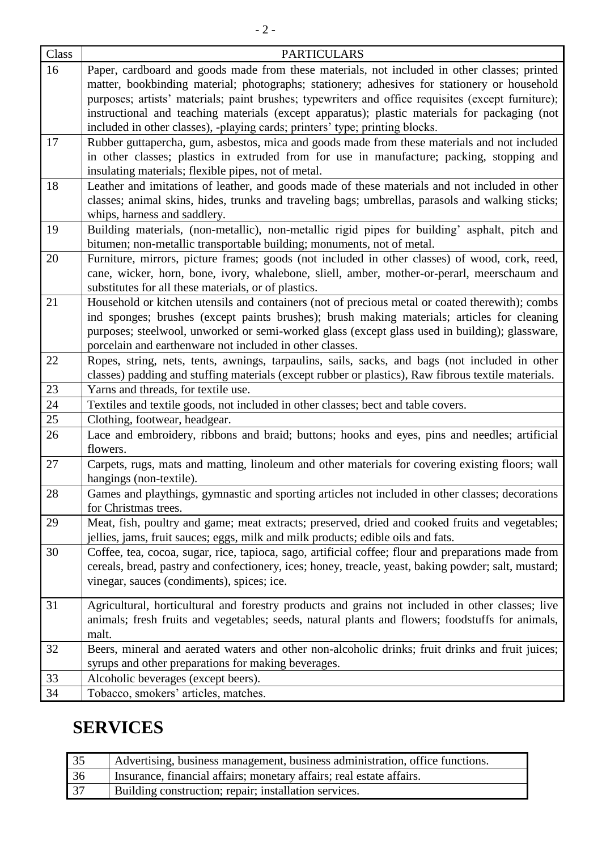| Class  | <b>PARTICULARS</b>                                                                                                                                                                                                                                                                                                                                                                                                                                                                  |
|--------|-------------------------------------------------------------------------------------------------------------------------------------------------------------------------------------------------------------------------------------------------------------------------------------------------------------------------------------------------------------------------------------------------------------------------------------------------------------------------------------|
| 16     | Paper, cardboard and goods made from these materials, not included in other classes; printed<br>matter, bookbinding material; photographs; stationery; adhesives for stationery or household<br>purposes; artists' materials; paint brushes; typewriters and office requisites (except furniture);<br>instructional and teaching materials (except apparatus); plastic materials for packaging (not<br>included in other classes), -playing cards; printers' type; printing blocks. |
| 17     | Rubber guttapercha, gum, asbestos, mica and goods made from these materials and not included<br>in other classes; plastics in extruded from for use in manufacture; packing, stopping and<br>insulating materials; flexible pipes, not of metal.                                                                                                                                                                                                                                    |
| 18     | Leather and imitations of leather, and goods made of these materials and not included in other<br>classes; animal skins, hides, trunks and traveling bags; umbrellas, parasols and walking sticks;<br>whips, harness and saddlery.                                                                                                                                                                                                                                                  |
| 19     | Building materials, (non-metallic), non-metallic rigid pipes for building' asphalt, pitch and<br>bitumen; non-metallic transportable building; monuments, not of metal.                                                                                                                                                                                                                                                                                                             |
| 20     | Furniture, mirrors, picture frames; goods (not included in other classes) of wood, cork, reed,<br>cane, wicker, horn, bone, ivory, whalebone, sliell, amber, mother-or-perarl, meerschaum and<br>substitutes for all these materials, or of plastics.                                                                                                                                                                                                                               |
| 21     | Household or kitchen utensils and containers (not of precious metal or coated therewith); combs<br>ind sponges; brushes (except paints brushes); brush making materials; articles for cleaning<br>purposes; steelwool, unworked or semi-worked glass (except glass used in building); glassware,<br>porcelain and earthenware not included in other classes.                                                                                                                        |
| 22     | Ropes, string, nets, tents, awnings, tarpaulins, sails, sacks, and bags (not included in other<br>classes) padding and stuffing materials (except rubber or plastics), Raw fibrous textile materials.                                                                                                                                                                                                                                                                               |
| $23\,$ | Yarns and threads, for textile use.                                                                                                                                                                                                                                                                                                                                                                                                                                                 |
| 24     | Textiles and textile goods, not included in other classes; bect and table covers.                                                                                                                                                                                                                                                                                                                                                                                                   |
| 25     | Clothing, footwear, headgear.                                                                                                                                                                                                                                                                                                                                                                                                                                                       |
| 26     | Lace and embroidery, ribbons and braid; buttons; hooks and eyes, pins and needles; artificial<br>flowers.                                                                                                                                                                                                                                                                                                                                                                           |
| 27     | Carpets, rugs, mats and matting, linoleum and other materials for covering existing floors; wall<br>hangings (non-textile).                                                                                                                                                                                                                                                                                                                                                         |
| 28     | Games and playthings, gymnastic and sporting articles not included in other classes; decorations<br>for Christmas trees.                                                                                                                                                                                                                                                                                                                                                            |
| 29     | Meat, fish, poultry and game; meat extracts; preserved, dried and cooked fruits and vegetables;<br>jellies, jams, fruit sauces; eggs, milk and milk products; edible oils and fats.                                                                                                                                                                                                                                                                                                 |
| 30     | Coffee, tea, cocoa, sugar, rice, tapioca, sago, artificial coffee; flour and preparations made from<br>cereals, bread, pastry and confectionery, ices; honey, treacle, yeast, baking powder; salt, mustard;<br>vinegar, sauces (condiments), spices; ice.                                                                                                                                                                                                                           |
| 31     | Agricultural, horticultural and forestry products and grains not included in other classes; live<br>animals; fresh fruits and vegetables; seeds, natural plants and flowers; foodstuffs for animals,<br>malt.                                                                                                                                                                                                                                                                       |
| 32     | Beers, mineral and aerated waters and other non-alcoholic drinks; fruit drinks and fruit juices;<br>syrups and other preparations for making beverages.                                                                                                                                                                                                                                                                                                                             |
| 33     | Alcoholic beverages (except beers).                                                                                                                                                                                                                                                                                                                                                                                                                                                 |
| 34     | Tobacco, smokers' articles, matches.                                                                                                                                                                                                                                                                                                                                                                                                                                                |

## **SERVICES**

| 35 | Advertising, business management, business administration, office functions. |
|----|------------------------------------------------------------------------------|
| 36 | Insurance, financial affairs; monetary affairs; real estate affairs.         |
| 37 | Building construction; repair; installation services.                        |